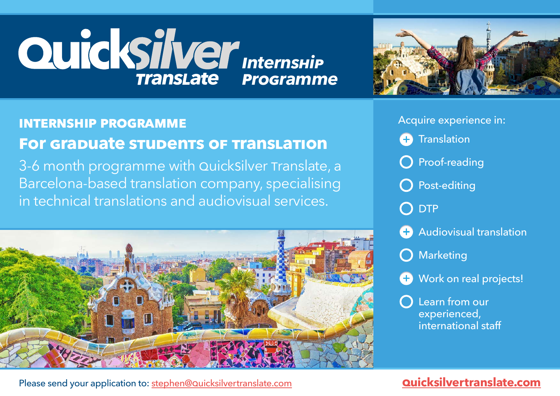# **duickSilver** *Internship programme*



#### Acquire experience in: **internship programme Translation** Ð **for grapuate stupents of trans** LEARN HOW TO USE PROFESSIONAL TRANSLATION SOFTWARE O Proof-reading  $3-6$  month  $p^2$  the with quicksilver translated to  $p^2$ (MemoQ) — WORKING ON REAL PROJECTS. Barcelona-based translation company, species that O Post-editing INTERACT WITH REVIEWERS, EDITORS AND CLIENTS. is and audiovisual services. DTP Audiovisual translation SUBTITLING, VIDEO GAMES, CLOSED CAPTIONS, AUDIO-DESCRIPTION AND Marketing LOCALISATION, DUBBING AND VOICE-OVER. **H** Work on real projects! (WE'VE SUBTITLED TWO OSCAR-NOMINATED MOVIES!)GAIN REAL-LIFE EXPERIENCE OUR CLIENTS INCLUDE US, Learn from our ENGLISH AND SPANISH MULTINATIONALS FROM THE experienced, FASHION, EDUCATION AND international staff ENGINEERING SECTORS.

# Please sent your application to: stephen@q[uicksilvertranslate.com](http://quicksilvertranslate.com) **quicksilvertranslate.com**